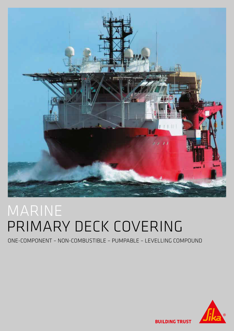

# MARINE PRIMARY DECK COVERING

## ONE-COMPONENT – NON-COMBUSTIBLE – PUMPABLE – LEVELLING COMPOUND



**BUILDING TRUST**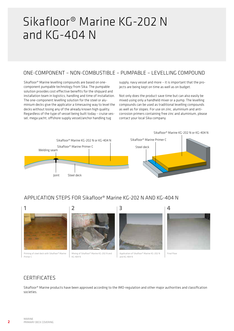## Sikafloor® Marine KG-202 N and KG-404 N

### ONE-COMPONENT – NON-COMBUSTIBLE – PUMPABLE – LEVELLING COMPOUND

Sikafloor® Marine levelling compounds are based on onecomponent pumpable technology from Sika. The pumpable solution provides cost effective benefits for the shipyard and installation team in logistics, handling and time of installation. The one-component levelling solution for the steel or aluminium decks give the applicator a timesaving way to level the decks without losing any of the already known high quality. Regardless of the type of vessel being built today – cruise vessel, mega yacht, offshore supply vessel/anchor handling tug

supply, navy vessel and more – it is important that the projects are being kept on time as well as on budget.

Not only does the product save time but can also easily be mixed using only a handheld mixer or a pump. The levelling compounds can be used as traditional levelling compounds as well as for slopes. For use on zinc, aluminium and anticorrosion primers containing free zinc and aluminium, please contact your local Sika company.



## APPLICATION STEPS FOR Sikafloor® Marine KG-202 N AND KG-404 N



### **CERTIFICATES**

Sikafloor® Marine products have been approved according to the IMO-regulation and other major authorities and classification societies.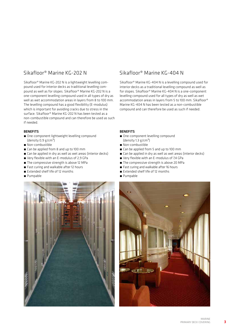### Sikafloor® Marine KG-202 N Sikafloor® Marine KG-404 N

Sikafloor® Marine KG-202 N is a lightweight levelling compound used for interior decks as traditional levelling compound as well as for slopes. Sikafloor® Marine KG-202 N is a one-component levelling compound used in all types of dry as well as wet accommodation areas in layers from 8 to 100 mm. The levelling compound has a good flexibility (E-modulus) which is important for avoiding cracks due to stress in the surface. Sikafloor® Marine KG-202 N has been tested as a non-combustible compound and can therefore be used as such if needed.

#### **BENEFITS**

- One-component lightweight levelling compound (density  $0.9$  g/cm<sup>3</sup>)
- Non-combustible
- $\blacksquare$  Can be annifed from 8 and up to 100 mm
- Can be applied in dry as well as wet areas (interior decks)
- Very flexible with an E-modulus of 2.9 GPa
- The compressive strength is above 12 MPa
- Fast curing and walkable after 12 hours
- Extended shelf life of 12 months
- Pumpable



Sikafloor® Marine KG-404 N is a levelling compound used for interior decks as a traditional levelling compound as well as for slopes. Sikafloor® Marine KG-404 N is a one-component levelling compound used for all types of dry as well as wet accommodation areas in layers from 5 to 100 mm. Sikafloor® Marine KG-404 N has been tested as a non-combustible compound and can therefore be used as such if needed.

#### BENEFITS

- One-component levelling compound (density  $1.3$  g/cm<sup>3</sup>)
- **Non-combustible**
- $\blacksquare$  Can be annlied from 5 and up to 100 mm
- Can be applied in dry as well as wet areas (interior decks)
- Very flexible with an E-modulus of 7.4 GPa
- The compressive strength is above 20 MPa
- Fast curing and walkable after 16 hours
- Extended shelf life of 12 months
- Pumpable